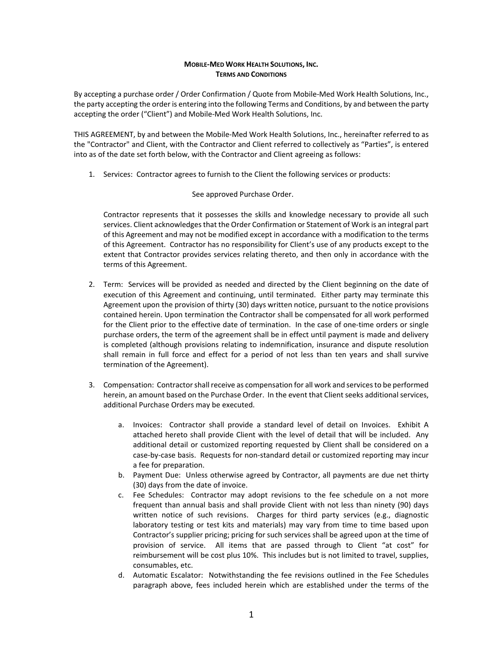## **MOBILE‐MED WORK HEALTH SOLUTIONS, INC. TERMS AND CONDITIONS**

By accepting a purchase order / Order Confirmation / Quote from Mobile‐Med Work Health Solutions, Inc., the party accepting the order is entering into the following Terms and Conditions, by and between the party accepting the order ("Client") and Mobile‐Med Work Health Solutions, Inc.

THIS AGREEMENT, by and between the Mobile‐Med Work Health Solutions, Inc., hereinafter referred to as the "Contractor" and Client, with the Contractor and Client referred to collectively as "Parties", is entered into as of the date set forth below, with the Contractor and Client agreeing as follows:

1. Services: Contractor agrees to furnish to the Client the following services or products:

## See approved Purchase Order.

Contractor represents that it possesses the skills and knowledge necessary to provide all such services. Client acknowledgesthat the Order Confirmation or Statement of Work is an integral part of this Agreement and may not be modified except in accordance with a modification to the terms of this Agreement. Contractor has no responsibility for Client's use of any products except to the extent that Contractor provides services relating thereto, and then only in accordance with the terms of this Agreement.

- 2. Term: Services will be provided as needed and directed by the Client beginning on the date of execution of this Agreement and continuing, until terminated. Either party may terminate this Agreement upon the provision of thirty (30) days written notice, pursuant to the notice provisions contained herein. Upon termination the Contractor shall be compensated for all work performed for the Client prior to the effective date of termination. In the case of one-time orders or single purchase orders, the term of the agreement shall be in effect until payment is made and delivery is completed (although provisions relating to indemnification, insurance and dispute resolution shall remain in full force and effect for a period of not less than ten years and shall survive termination of the Agreement).
- 3. Compensation: Contractor shall receive as compensation for all work and services to be performed herein, an amount based on the Purchase Order. In the event that Client seeks additional services, additional Purchase Orders may be executed.
	- a. Invoices: Contractor shall provide a standard level of detail on Invoices. Exhibit A attached hereto shall provide Client with the level of detail that will be included. Any additional detail or customized reporting requested by Client shall be considered on a case‐by‐case basis. Requests for non‐standard detail or customized reporting may incur a fee for preparation.
	- b. Payment Due: Unless otherwise agreed by Contractor, all payments are due net thirty (30) days from the date of invoice.
	- c. Fee Schedules: Contractor may adopt revisions to the fee schedule on a not more frequent than annual basis and shall provide Client with not less than ninety (90) days written notice of such revisions. Charges for third party services (e.g., diagnostic laboratory testing or test kits and materials) may vary from time to time based upon Contractor's supplier pricing; pricing for such services shall be agreed upon at the time of provision of service. All items that are passed through to Client "at cost" for reimbursement will be cost plus 10%. This includes but is not limited to travel, supplies, consumables, etc.
	- d. Automatic Escalator: Notwithstanding the fee revisions outlined in the Fee Schedules paragraph above, fees included herein which are established under the terms of the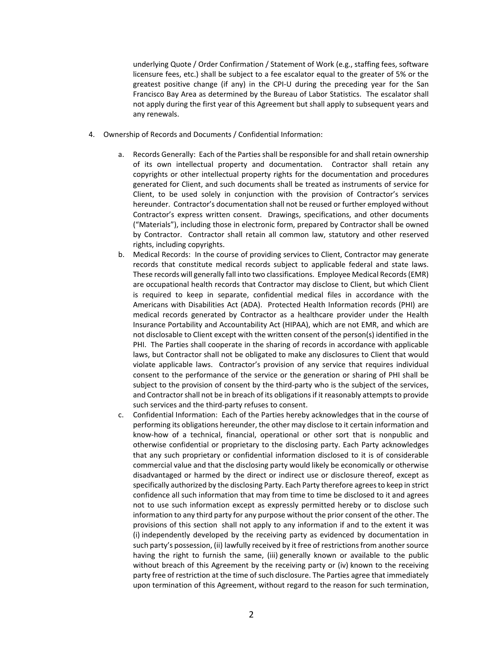underlying Quote / Order Confirmation / Statement of Work (e.g., staffing fees, software licensure fees, etc.) shall be subject to a fee escalator equal to the greater of 5% or the greatest positive change (if any) in the CPI‐U during the preceding year for the San Francisco Bay Area as determined by the Bureau of Labor Statistics. The escalator shall not apply during the first year of this Agreement but shall apply to subsequent years and any renewals.

- 4. Ownership of Records and Documents / Confidential Information:
	- a. Records Generally: Each of the Parties shall be responsible for and shall retain ownership of its own intellectual property and documentation. Contractor shall retain any copyrights or other intellectual property rights for the documentation and procedures generated for Client, and such documents shall be treated as instruments of service for Client, to be used solely in conjunction with the provision of Contractor's services hereunder. Contractor's documentation shall not be reused or further employed without Contractor's express written consent. Drawings, specifications, and other documents ("Materials"), including those in electronic form, prepared by Contractor shall be owned by Contractor. Contractor shall retain all common law, statutory and other reserved rights, including copyrights.
	- b. Medical Records: In the course of providing services to Client, Contractor may generate records that constitute medical records subject to applicable federal and state laws. These records will generally fall into two classifications. Employee Medical Records(EMR) are occupational health records that Contractor may disclose to Client, but which Client is required to keep in separate, confidential medical files in accordance with the Americans with Disabilities Act (ADA). Protected Health Information records (PHI) are medical records generated by Contractor as a healthcare provider under the Health Insurance Portability and Accountability Act (HIPAA), which are not EMR, and which are not disclosable to Client except with the written consent of the person(s) identified in the PHI. The Parties shall cooperate in the sharing of records in accordance with applicable laws, but Contractor shall not be obligated to make any disclosures to Client that would violate applicable laws. Contractor's provision of any service that requires individual consent to the performance of the service or the generation or sharing of PHI shall be subject to the provision of consent by the third-party who is the subject of the services, and Contractor shall not be in breach of its obligations if it reasonably attempts to provide such services and the third‐party refuses to consent.
	- c. Confidential Information: Each of the Parties hereby acknowledges that in the course of performing its obligations hereunder, the other may disclose to it certain information and know‐how of a technical, financial, operational or other sort that is nonpublic and otherwise confidential or proprietary to the disclosing party. Each Party acknowledges that any such proprietary or confidential information disclosed to it is of considerable commercial value and that the disclosing party would likely be economically or otherwise disadvantaged or harmed by the direct or indirect use or disclosure thereof, except as specifically authorized by the disclosing Party. Each Party therefore agreesto keep in strict confidence all such information that may from time to time be disclosed to it and agrees not to use such information except as expressly permitted hereby or to disclose such information to any third party for any purpose without the prior consent of the other. The provisions of this section shall not apply to any information if and to the extent it was (i) independently developed by the receiving party as evidenced by documentation in such party's possession, (ii) lawfully received by it free of restrictions from another source having the right to furnish the same, (iii) generally known or available to the public without breach of this Agreement by the receiving party or (iv) known to the receiving party free of restriction at the time of such disclosure. The Parties agree that immediately upon termination of this Agreement, without regard to the reason for such termination,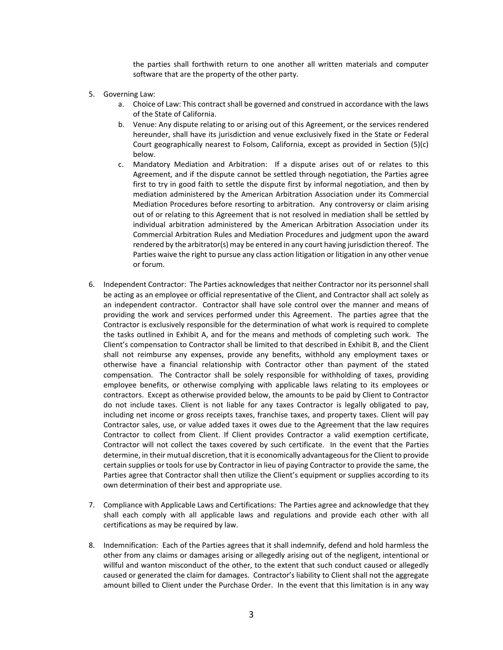the parties shall forthwith return to one another all written materials and computer software that are the property of the other party.

- 5. Governing Law:
	- a. Choice of Law: This contract shall be governed and construed in accordance with the laws of the State of California.
	- b. Venue: Any dispute relating to or arising out of this Agreement, or the services rendered hereunder, shall have its jurisdiction and venue exclusively fixed in the State or Federal Court geographically nearest to Folsom, California, except as provided in Section (5)(c) below.
	- c. Mandatory Mediation and Arbitration: If a dispute arises out of or relates to this Agreement, and if the dispute cannot be settled through negotiation, the Parties agree first to try in good faith to settle the dispute first by informal negotiation, and then by mediation administered by the American Arbitration Association under its Commercial Mediation Procedures before resorting to arbitration. Any controversy or claim arising out of or relating to this Agreement that is not resolved in mediation shall be settled by individual arbitration administered by the American Arbitration Association under its Commercial Arbitration Rules and Mediation Procedures and judgment upon the award rendered by the arbitrator(s) may be entered in any court having jurisdiction thereof. The Parties waive the right to pursue any class action litigation or litigation in any other venue or forum.
- 6. Independent Contractor: The Parties acknowledges that neither Contractor nor its personnel shall be acting as an employee or official representative of the Client, and Contractor shall act solely as an independent contractor. Contractor shall have sole control over the manner and means of providing the work and services performed under this Agreement. The parties agree that the Contractor is exclusively responsible for the determination of what work is required to complete the tasks outlined in Exhibit A, and for the means and methods of completing such work. The Client's compensation to Contractor shall be limited to that described in Exhibit B, and the Client shall not reimburse any expenses, provide any benefits, withhold any employment taxes or otherwise have a financial relationship with Contractor other than payment of the stated compensation. The Contractor shall be solely responsible for withholding of taxes, providing employee benefits, or otherwise complying with applicable laws relating to its employees or contractors. Except as otherwise provided below, the amounts to be paid by Client to Contractor do not include taxes. Client is not liable for any taxes Contractor is legally obligated to pay, including net income or gross receipts taxes, franchise taxes, and property taxes. Client will pay Contractor sales, use, or value added taxes it owes due to the Agreement that the law requires Contractor to collect from Client. If Client provides Contractor a valid exemption certificate, Contractor will not collect the taxes covered by such certificate. In the event that the Parties determine, in their mutual discretion, that it is economically advantageousfor the Client to provide certain supplies or tools for use by Contractor in lieu of paying Contractor to provide the same, the Parties agree that Contractor shall then utilize the Client's equipment or supplies according to its own determination of their best and appropriate use.
- 7. Compliance with Applicable Laws and Certifications: The Parties agree and acknowledge that they shall each comply with all applicable laws and regulations and provide each other with all certifications as may be required by law.
- 8. Indemnification: Each of the Parties agrees that it shall indemnify, defend and hold harmless the other from any claims or damages arising or allegedly arising out of the negligent, intentional or willful and wanton misconduct of the other, to the extent that such conduct caused or allegedly caused or generated the claim for damages. Contractor's liability to Client shall not the aggregate amount billed to Client under the Purchase Order. In the event that this limitation is in any way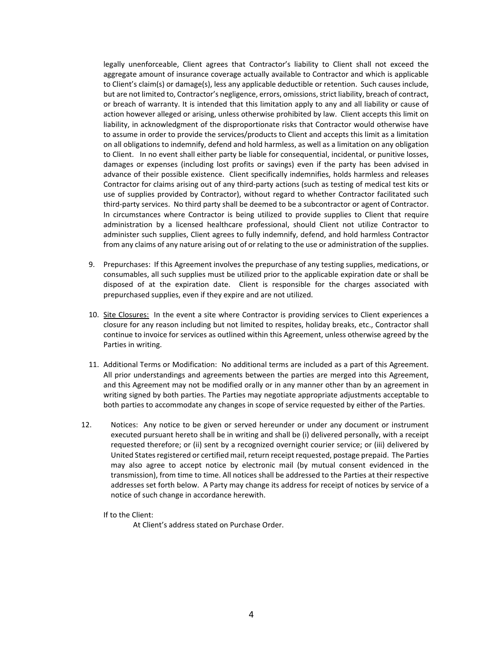legally unenforceable, Client agrees that Contractor's liability to Client shall not exceed the aggregate amount of insurance coverage actually available to Contractor and which is applicable to Client's claim(s) or damage(s), less any applicable deductible or retention. Such causes include, but are not limited to, Contractor's negligence, errors, omissions, strict liability, breach of contract, or breach of warranty. It is intended that this limitation apply to any and all liability or cause of action however alleged or arising, unless otherwise prohibited by law. Client accepts this limit on liability, in acknowledgment of the disproportionate risks that Contractor would otherwise have to assume in order to provide the services/products to Client and accepts this limit as a limitation on all obligations to indemnify, defend and hold harmless, as well as a limitation on any obligation to Client. In no event shall either party be liable for consequential, incidental, or punitive losses, damages or expenses (including lost profits or savings) even if the party has been advised in advance of their possible existence. Client specifically indemnifies, holds harmless and releases Contractor for claims arising out of any third‐party actions (such as testing of medical test kits or use of supplies provided by Contractor), without regard to whether Contractor facilitated such third-party services. No third party shall be deemed to be a subcontractor or agent of Contractor. In circumstances where Contractor is being utilized to provide supplies to Client that require administration by a licensed healthcare professional, should Client not utilize Contractor to administer such supplies, Client agrees to fully indemnify, defend, and hold harmless Contractor from any claims of any nature arising out of or relating to the use or administration of the supplies.

- 9. Prepurchases: If this Agreement involves the prepurchase of any testing supplies, medications, or consumables, all such supplies must be utilized prior to the applicable expiration date or shall be disposed of at the expiration date. Client is responsible for the charges associated with prepurchased supplies, even if they expire and are not utilized.
- 10. Site Closures: In the event a site where Contractor is providing services to Client experiences a closure for any reason including but not limited to respites, holiday breaks, etc., Contractor shall continue to invoice for services as outlined within this Agreement, unless otherwise agreed by the Parties in writing.
- 11. Additional Terms or Modification: No additional terms are included as a part of this Agreement. All prior understandings and agreements between the parties are merged into this Agreement, and this Agreement may not be modified orally or in any manner other than by an agreement in writing signed by both parties. The Parties may negotiate appropriate adjustments acceptable to both parties to accommodate any changes in scope of service requested by either of the Parties.
- 12. Notices: Any notice to be given or served hereunder or under any document or instrument executed pursuant hereto shall be in writing and shall be (i) delivered personally, with a receipt requested therefore; or (ii) sent by a recognized overnight courier service; or (iii) delivered by United States registered or certified mail, return receipt requested, postage prepaid. The Parties may also agree to accept notice by electronic mail (by mutual consent evidenced in the transmission), from time to time. All notices shall be addressed to the Parties at their respective addresses set forth below. A Party may change its address for receipt of notices by service of a notice of such change in accordance herewith.

If to the Client:

At Client's address stated on Purchase Order.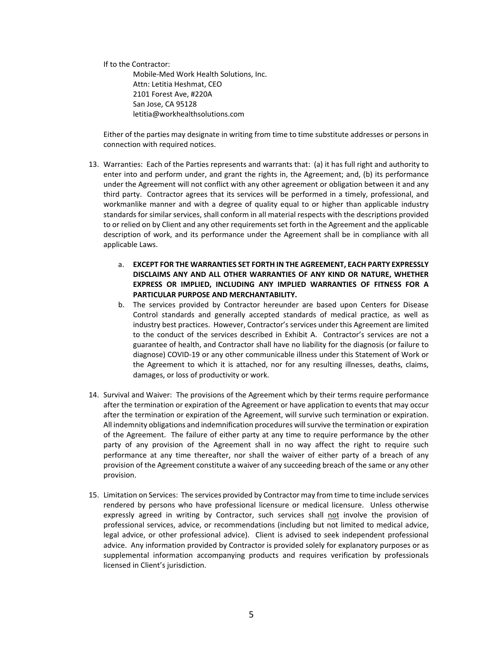If to the Contractor:

 Mobile‐Med Work Health Solutions, Inc. Attn: Letitia Heshmat, CEO 2101 Forest Ave, #220A San Jose, CA 95128 letitia@workhealthsolutions.com

Either of the parties may designate in writing from time to time substitute addresses or persons in connection with required notices.

- 13. Warranties: Each of the Parties represents and warrants that: (a) it has full right and authority to enter into and perform under, and grant the rights in, the Agreement; and, (b) its performance under the Agreement will not conflict with any other agreement or obligation between it and any third party. Contractor agrees that its services will be performed in a timely, professional, and workmanlike manner and with a degree of quality equal to or higher than applicable industry standards for similar services, shall conform in all material respects with the descriptions provided to or relied on by Client and any other requirements set forth in the Agreement and the applicable description of work, and its performance under the Agreement shall be in compliance with all applicable Laws.
	- a. **EXCEPT FOR THE WARRANTIES SET FORTH IN THE AGREEMENT, EACH PARTY EXPRESSLY DISCLAIMS ANY AND ALL OTHER WARRANTIES OF ANY KIND OR NATURE, WHETHER EXPRESS OR IMPLIED, INCLUDING ANY IMPLIED WARRANTIES OF FITNESS FOR A PARTICULAR PURPOSE AND MERCHANTABILITY.**
	- b. The services provided by Contractor hereunder are based upon Centers for Disease Control standards and generally accepted standards of medical practice, as well as industry best practices. However, Contractor's services under this Agreement are limited to the conduct of the services described in Exhibit A. Contractor's services are not a guarantee of health, and Contractor shall have no liability for the diagnosis (or failure to diagnose) COVID‐19 or any other communicable illness under this Statement of Work or the Agreement to which it is attached, nor for any resulting illnesses, deaths, claims, damages, or loss of productivity or work.
- 14. Survival and Waiver: The provisions of the Agreement which by their terms require performance after the termination or expiration of the Agreement or have application to events that may occur after the termination or expiration of the Agreement, will survive such termination or expiration. All indemnity obligations and indemnification procedures will survive the termination or expiration of the Agreement. The failure of either party at any time to require performance by the other party of any provision of the Agreement shall in no way affect the right to require such performance at any time thereafter, nor shall the waiver of either party of a breach of any provision of the Agreement constitute a waiver of any succeeding breach of the same or any other provision.
- 15. Limitation on Services: The services provided by Contractor may from time to time include services rendered by persons who have professional licensure or medical licensure. Unless otherwise expressly agreed in writing by Contractor, such services shall not involve the provision of professional services, advice, or recommendations (including but not limited to medical advice, legal advice, or other professional advice). Client is advised to seek independent professional advice. Any information provided by Contractor is provided solely for explanatory purposes or as supplemental information accompanying products and requires verification by professionals licensed in Client's jurisdiction.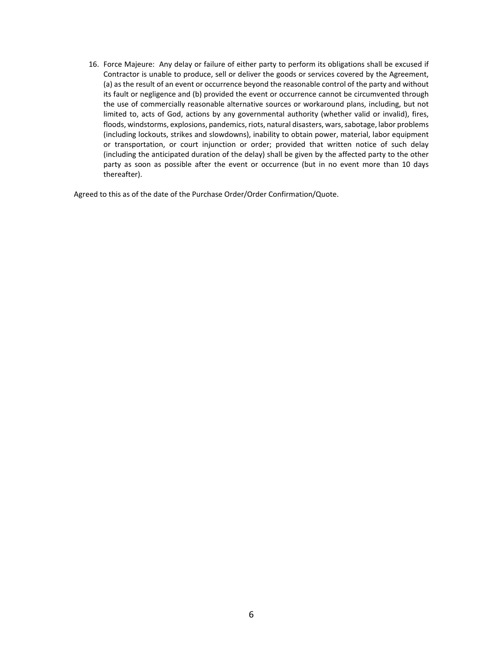16. Force Majeure: Any delay or failure of either party to perform its obligations shall be excused if Contractor is unable to produce, sell or deliver the goods or services covered by the Agreement, (a) as the result of an event or occurrence beyond the reasonable control of the party and without its fault or negligence and (b) provided the event or occurrence cannot be circumvented through the use of commercially reasonable alternative sources or workaround plans, including, but not limited to, acts of God, actions by any governmental authority (whether valid or invalid), fires, floods, windstorms, explosions, pandemics, riots, natural disasters, wars, sabotage, labor problems (including lockouts, strikes and slowdowns), inability to obtain power, material, labor equipment or transportation, or court injunction or order; provided that written notice of such delay (including the anticipated duration of the delay) shall be given by the affected party to the other party as soon as possible after the event or occurrence (but in no event more than 10 days thereafter).

Agreed to this as of the date of the Purchase Order/Order Confirmation/Quote.